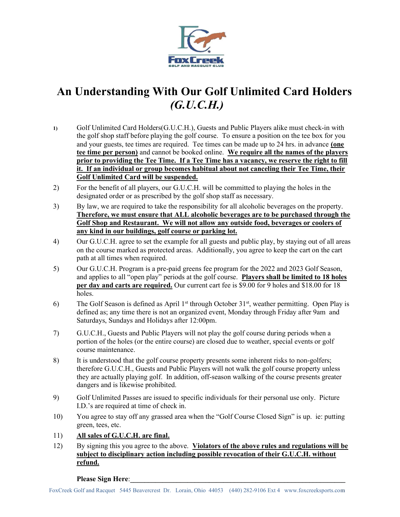

## An Understanding With Our Golf Unlimited Card Holders (G.U.C.H.)

- 1) Golf Unlimited Card Holders(G.U.C.H.), Guests and Public Players alike must check-in with the golf shop staff before playing the golf course. To ensure a position on the tee box for you and your guests, tee times are required. Tee times can be made up to 24 hrs. in advance (one tee time per person) and cannot be booked online. We require all the names of the players prior to providing the Tee Time. If a Tee Time has a vacancy, we reserve the right to fill it. If an individual or group becomes habitual about not canceling their Tee Time, their Golf Unlimited Card will be suspended.
- 2) For the benefit of all players, our G.U.C.H. will be committed to playing the holes in the designated order or as prescribed by the golf shop staff as necessary.
- 3) By law, we are required to take the responsibility for all alcoholic beverages on the property. Therefore, we must ensure that ALL alcoholic beverages are to be purchased through the Golf Shop and Restaurant. We will not allow any outside food, beverages or coolers of any kind in our buildings, golf course or parking lot.
- 4) Our G.U.C.H. agree to set the example for all guests and public play, by staying out of all areas on the course marked as protected areas. Additionally, you agree to keep the cart on the cart path at all times when required.
- 5) Our G.U.C.H. Program is a pre-paid greens fee program for the 2022 and 2023 Golf Season, and applies to all "open play" periods at the golf course. Players shall be limited to 18 holes per day and carts are required. Our current cart fee is \$9.00 for 9 holes and \$18.00 for 18 holes.
- 6) The Golf Season is defined as April  $1<sup>st</sup>$  through October  $31<sup>st</sup>$ , weather permitting. Open Play is defined as; any time there is not an organized event, Monday through Friday after 9am and Saturdays, Sundays and Holidays after 12:00pm.
- 7) G.U.C.H., Guests and Public Players will not play the golf course during periods when a portion of the holes (or the entire course) are closed due to weather, special events or golf course maintenance.
- 8) It is understood that the golf course property presents some inherent risks to non-golfers; therefore G.U.C.H., Guests and Public Players will not walk the golf course property unless they are actually playing golf. In addition, off-season walking of the course presents greater dangers and is likewise prohibited.
- 9) Golf Unlimited Passes are issued to specific individuals for their personal use only. Picture I.D.'s are required at time of check in.
- 10) You agree to stay off any grassed area when the "Golf Course Closed Sign" is up. ie: putting green, tees, etc.
- 11) All sales of G.U.C.H. are final.
- 12) By signing this you agree to the above. Violators of the above rules and regulations will be subject to disciplinary action including possible revocation of their G.U.C.H. without refund.

Please Sign Here: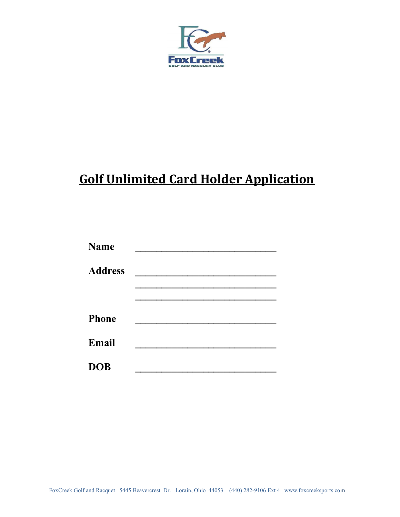

## Golf Unlimited Card Holder Application

| <b>Name</b>    |  |
|----------------|--|
| <b>Address</b> |  |
|                |  |
| <b>Phone</b>   |  |
| Email          |  |
| <b>DOB</b>     |  |